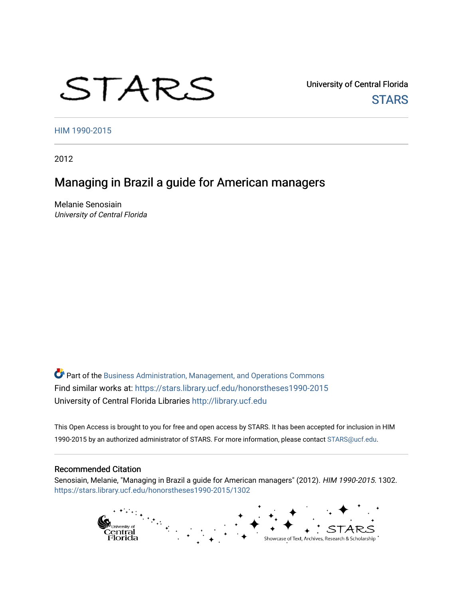# STARS

University of Central Florida **STARS** 

[HIM 1990-2015](https://stars.library.ucf.edu/honorstheses1990-2015) 

2012

# Managing in Brazil a guide for American managers

Melanie Senosiain University of Central Florida

Part of the [Business Administration, Management, and Operations Commons](http://network.bepress.com/hgg/discipline/623?utm_source=stars.library.ucf.edu%2Fhonorstheses1990-2015%2F1302&utm_medium=PDF&utm_campaign=PDFCoverPages) Find similar works at: <https://stars.library.ucf.edu/honorstheses1990-2015> University of Central Florida Libraries [http://library.ucf.edu](http://library.ucf.edu/) 

This Open Access is brought to you for free and open access by STARS. It has been accepted for inclusion in HIM 1990-2015 by an authorized administrator of STARS. For more information, please contact [STARS@ucf.edu](mailto:STARS@ucf.edu).

#### Recommended Citation

Senosiain, Melanie, "Managing in Brazil a guide for American managers" (2012). HIM 1990-2015. 1302. [https://stars.library.ucf.edu/honorstheses1990-2015/1302](https://stars.library.ucf.edu/honorstheses1990-2015/1302?utm_source=stars.library.ucf.edu%2Fhonorstheses1990-2015%2F1302&utm_medium=PDF&utm_campaign=PDFCoverPages) 

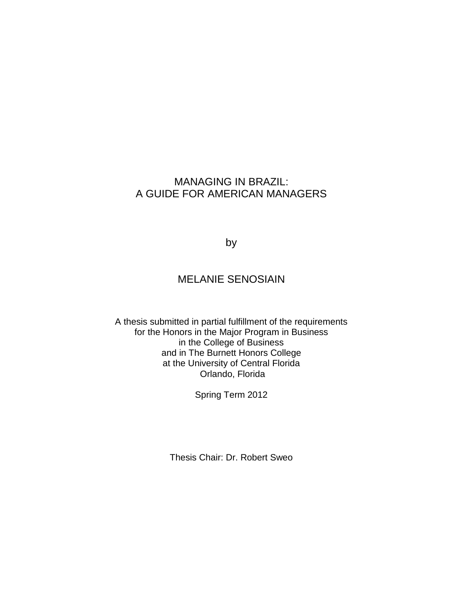# MANAGING IN BRAZIL: A GUIDE FOR AMERICAN MANAGERS

by

# MELANIE SENOSIAIN

A thesis submitted in partial fulfillment of the requirements for the Honors in the Major Program in Business in the College of Business and in The Burnett Honors College at the University of Central Florida Orlando, Florida

Spring Term 2012

Thesis Chair: Dr. Robert Sweo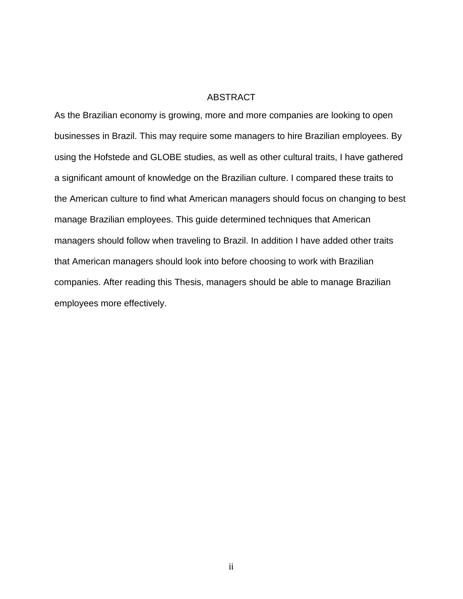## ABSTRACT

As the Brazilian economy is growing, more and more companies are looking to open businesses in Brazil. This may require some managers to hire Brazilian employees. By using the Hofstede and GLOBE studies, as well as other cultural traits, I have gathered a significant amount of knowledge on the Brazilian culture. I compared these traits to the American culture to find what American managers should focus on changing to best manage Brazilian employees. This guide determined techniques that American managers should follow when traveling to Brazil. In addition I have added other traits that American managers should look into before choosing to work with Brazilian companies. After reading this Thesis, managers should be able to manage Brazilian employees more effectively.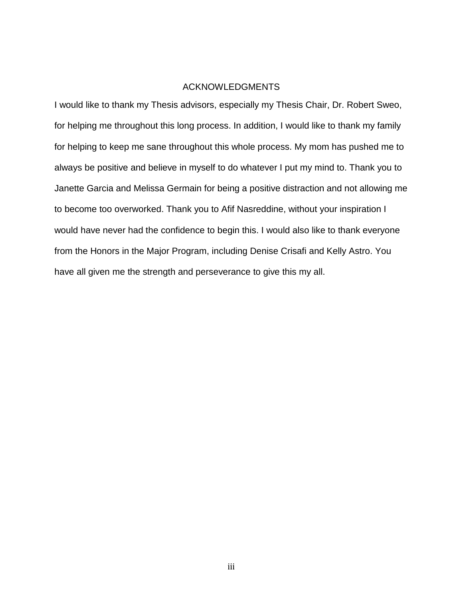#### ACKNOWLEDGMENTS

I would like to thank my Thesis advisors, especially my Thesis Chair, Dr. Robert Sweo, for helping me throughout this long process. In addition, I would like to thank my family for helping to keep me sane throughout this whole process. My mom has pushed me to always be positive and believe in myself to do whatever I put my mind to. Thank you to Janette Garcia and Melissa Germain for being a positive distraction and not allowing me to become too overworked. Thank you to Afif Nasreddine, without your inspiration I would have never had the confidence to begin this. I would also like to thank everyone from the Honors in the Major Program, including Denise Crisafi and Kelly Astro. You have all given me the strength and perseverance to give this my all.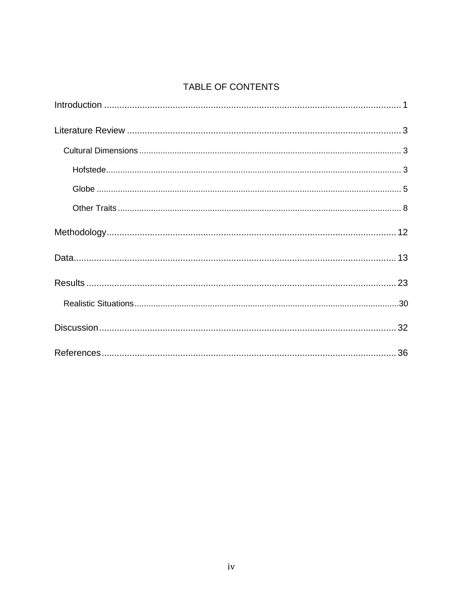# TABLE OF CONTENTS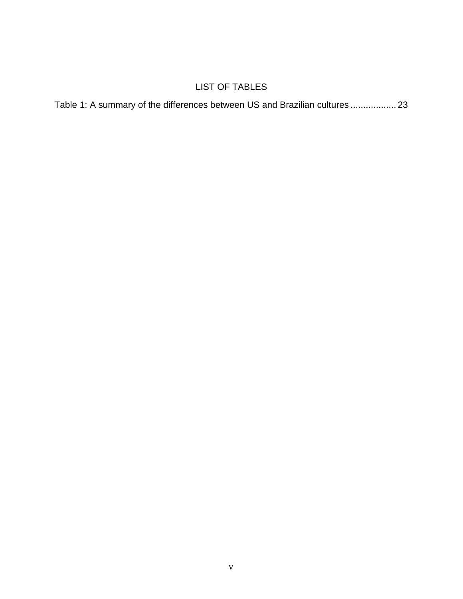# LIST OF TABLES

| Table 1: A summary of the differences between US and Brazilian cultures  23 |  |
|-----------------------------------------------------------------------------|--|
|-----------------------------------------------------------------------------|--|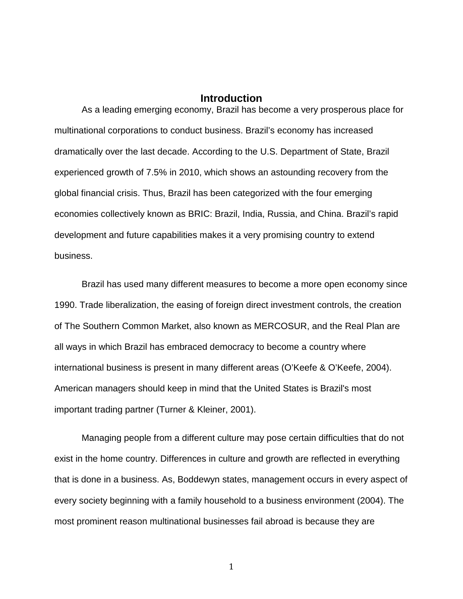## **Introduction**

As a leading emerging economy, Brazil has become a very prosperous place for multinational corporations to conduct business. Brazil's economy has increased dramatically over the last decade. According to the U.S. Department of State, Brazil experienced growth of 7.5% in 2010, which shows an astounding recovery from the global financial crisis. Thus, Brazil has been categorized with the four emerging economies collectively known as BRIC: Brazil, India, Russia, and China. Brazil's rapid development and future capabilities makes it a very promising country to extend business.

Brazil has used many different measures to become a more open economy since 1990. Trade liberalization, the easing of foreign direct investment controls, the creation of The Southern Common Market, also known as MERCOSUR, and the Real Plan are all ways in which Brazil has embraced democracy to become a country where international business is present in many different areas (O'Keefe & O'Keefe, 2004). American managers should keep in mind that the United States is Brazil's most important trading partner (Turner & Kleiner, 2001).

Managing people from a different culture may pose certain difficulties that do not exist in the home country. Differences in culture and growth are reflected in everything that is done in a business. As, Boddewyn states, management occurs in every aspect of every society beginning with a family household to a business environment (2004). The most prominent reason multinational businesses fail abroad is because they are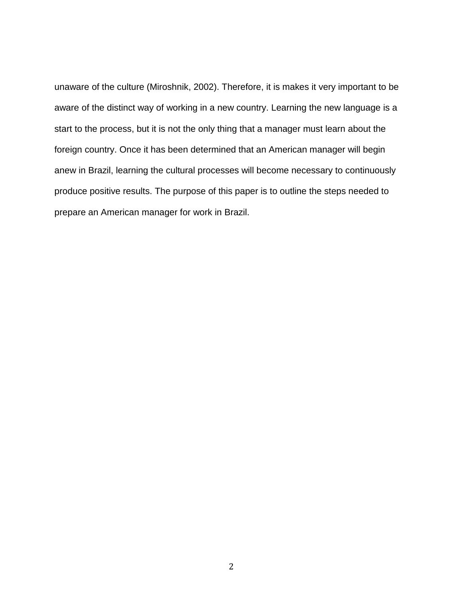unaware of the culture (Miroshnik, 2002). Therefore, it is makes it very important to be aware of the distinct way of working in a new country. Learning the new language is a start to the process, but it is not the only thing that a manager must learn about the foreign country. Once it has been determined that an American manager will begin anew in Brazil, learning the cultural processes will become necessary to continuously produce positive results. The purpose of this paper is to outline the steps needed to prepare an American manager for work in Brazil.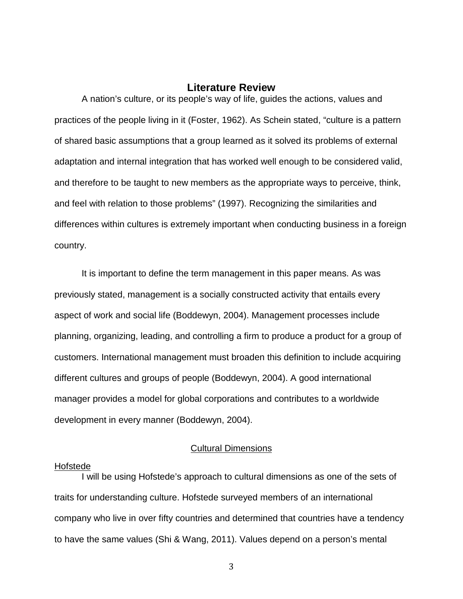# **Literature Review**

A nation's culture, or its people's way of life, guides the actions, values and practices of the people living in it (Foster, 1962). As Schein stated, "culture is a pattern of shared basic assumptions that a group learned as it solved its problems of external adaptation and internal integration that has worked well enough to be considered valid, and therefore to be taught to new members as the appropriate ways to perceive, think, and feel with relation to those problems" (1997). Recognizing the similarities and differences within cultures is extremely important when conducting business in a foreign country.

It is important to define the term management in this paper means. As was previously stated, management is a socially constructed activity that entails every aspect of work and social life (Boddewyn, 2004). Management processes include planning, organizing, leading, and controlling a firm to produce a product for a group of customers. International management must broaden this definition to include acquiring different cultures and groups of people (Boddewyn, 2004). A good international manager provides a model for global corporations and contributes to a worldwide development in every manner (Boddewyn, 2004).

#### Cultural Dimensions

#### Hofstede

I will be using Hofstede's approach to cultural dimensions as one of the sets of traits for understanding culture. Hofstede surveyed members of an international company who live in over fifty countries and determined that countries have a tendency to have the same values (Shi & Wang, 2011). Values depend on a person's mental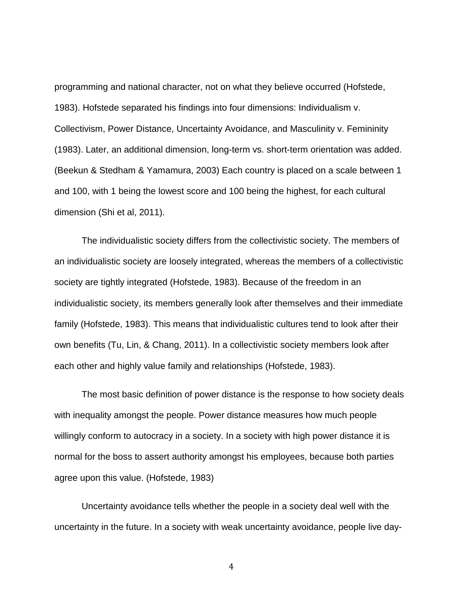programming and national character, not on what they believe occurred (Hofstede, 1983). Hofstede separated his findings into four dimensions: Individualism v. Collectivism, Power Distance, Uncertainty Avoidance, and Masculinity v. Femininity (1983). Later, an additional dimension, long-term vs. short-term orientation was added. (Beekun & Stedham & Yamamura, 2003) Each country is placed on a scale between 1 and 100, with 1 being the lowest score and 100 being the highest, for each cultural dimension (Shi et al, 2011).

The individualistic society differs from the collectivistic society. The members of an individualistic society are loosely integrated, whereas the members of a collectivistic society are tightly integrated (Hofstede, 1983). Because of the freedom in an individualistic society, its members generally look after themselves and their immediate family (Hofstede, 1983). This means that individualistic cultures tend to look after their own benefits (Tu, Lin, & Chang, 2011). In a collectivistic society members look after each other and highly value family and relationships (Hofstede, 1983).

The most basic definition of power distance is the response to how society deals with inequality amongst the people. Power distance measures how much people willingly conform to autocracy in a society. In a society with high power distance it is normal for the boss to assert authority amongst his employees, because both parties agree upon this value. (Hofstede, 1983)

Uncertainty avoidance tells whether the people in a society deal well with the uncertainty in the future. In a society with weak uncertainty avoidance, people live day-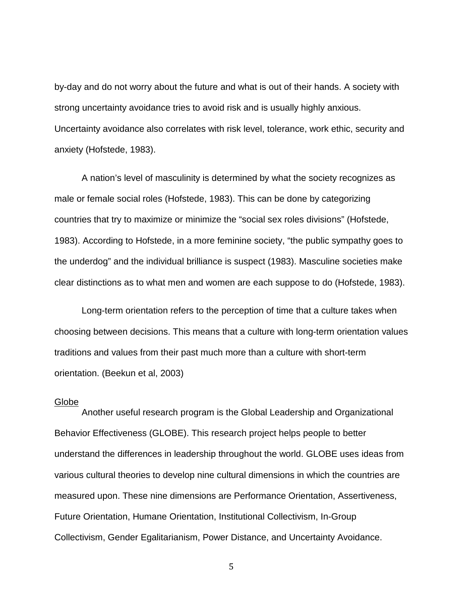by-day and do not worry about the future and what is out of their hands. A society with strong uncertainty avoidance tries to avoid risk and is usually highly anxious. Uncertainty avoidance also correlates with risk level, tolerance, work ethic, security and anxiety (Hofstede, 1983).

A nation's level of masculinity is determined by what the society recognizes as male or female social roles (Hofstede, 1983). This can be done by categorizing countries that try to maximize or minimize the "social sex roles divisions" (Hofstede, 1983). According to Hofstede, in a more feminine society, "the public sympathy goes to the underdog" and the individual brilliance is suspect (1983). Masculine societies make clear distinctions as to what men and women are each suppose to do (Hofstede, 1983).

Long-term orientation refers to the perception of time that a culture takes when choosing between decisions. This means that a culture with long-term orientation values traditions and values from their past much more than a culture with short-term orientation. (Beekun et al, 2003)

#### Globe

Another useful research program is the Global Leadership and Organizational Behavior Effectiveness (GLOBE). This research project helps people to better understand the differences in leadership throughout the world. GLOBE uses ideas from various cultural theories to develop nine cultural dimensions in which the countries are measured upon. These nine dimensions are Performance Orientation, Assertiveness, Future Orientation, Humane Orientation, Institutional Collectivism, In-Group Collectivism, Gender Egalitarianism, Power Distance, and Uncertainty Avoidance.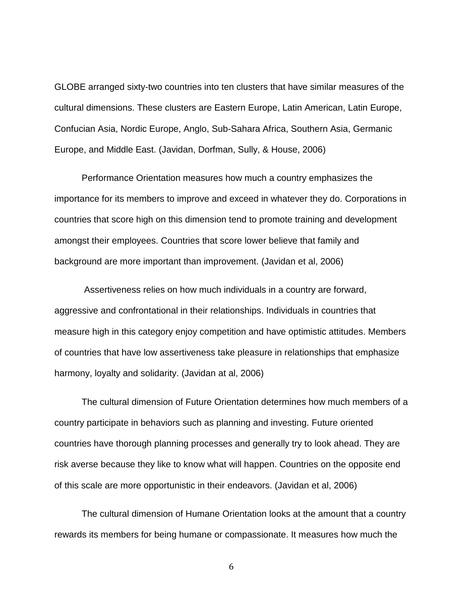GLOBE arranged sixty-two countries into ten clusters that have similar measures of the cultural dimensions. These clusters are Eastern Europe, Latin American, Latin Europe, Confucian Asia, Nordic Europe, Anglo, Sub-Sahara Africa, Southern Asia, Germanic Europe, and Middle East. (Javidan, Dorfman, Sully, & House, 2006)

Performance Orientation measures how much a country emphasizes the importance for its members to improve and exceed in whatever they do. Corporations in countries that score high on this dimension tend to promote training and development amongst their employees. Countries that score lower believe that family and background are more important than improvement. (Javidan et al, 2006)

Assertiveness relies on how much individuals in a country are forward, aggressive and confrontational in their relationships. Individuals in countries that measure high in this category enjoy competition and have optimistic attitudes. Members of countries that have low assertiveness take pleasure in relationships that emphasize harmony, loyalty and solidarity. (Javidan at al, 2006)

The cultural dimension of Future Orientation determines how much members of a country participate in behaviors such as planning and investing. Future oriented countries have thorough planning processes and generally try to look ahead. They are risk averse because they like to know what will happen. Countries on the opposite end of this scale are more opportunistic in their endeavors. (Javidan et al, 2006)

The cultural dimension of Humane Orientation looks at the amount that a country rewards its members for being humane or compassionate. It measures how much the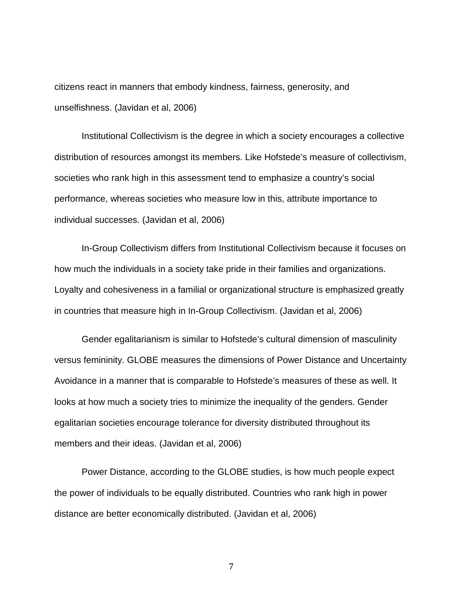citizens react in manners that embody kindness, fairness, generosity, and unselfishness. (Javidan et al, 2006)

Institutional Collectivism is the degree in which a society encourages a collective distribution of resources amongst its members. Like Hofstede's measure of collectivism, societies who rank high in this assessment tend to emphasize a country's social performance, whereas societies who measure low in this, attribute importance to individual successes. (Javidan et al, 2006)

In-Group Collectivism differs from Institutional Collectivism because it focuses on how much the individuals in a society take pride in their families and organizations. Loyalty and cohesiveness in a familial or organizational structure is emphasized greatly in countries that measure high in In-Group Collectivism. (Javidan et al, 2006)

Gender egalitarianism is similar to Hofstede's cultural dimension of masculinity versus femininity. GLOBE measures the dimensions of Power Distance and Uncertainty Avoidance in a manner that is comparable to Hofstede's measures of these as well. It looks at how much a society tries to minimize the inequality of the genders. Gender egalitarian societies encourage tolerance for diversity distributed throughout its members and their ideas. (Javidan et al, 2006)

Power Distance, according to the GLOBE studies, is how much people expect the power of individuals to be equally distributed. Countries who rank high in power distance are better economically distributed. (Javidan et al, 2006)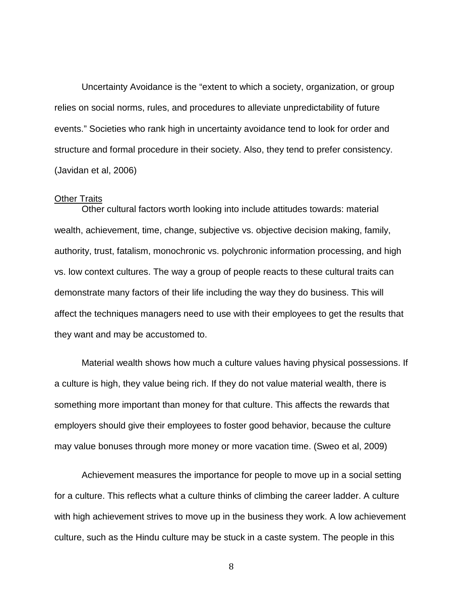Uncertainty Avoidance is the "extent to which a society, organization, or group relies on social norms, rules, and procedures to alleviate unpredictability of future events." Societies who rank high in uncertainty avoidance tend to look for order and structure and formal procedure in their society. Also, they tend to prefer consistency. (Javidan et al, 2006)

#### Other Traits

Other cultural factors worth looking into include attitudes towards: material wealth, achievement, time, change, subjective vs. objective decision making, family, authority, trust, fatalism, monochronic vs. polychronic information processing, and high vs. low context cultures. The way a group of people reacts to these cultural traits can demonstrate many factors of their life including the way they do business. This will affect the techniques managers need to use with their employees to get the results that they want and may be accustomed to.

Material wealth shows how much a culture values having physical possessions. If a culture is high, they value being rich. If they do not value material wealth, there is something more important than money for that culture. This affects the rewards that employers should give their employees to foster good behavior, because the culture may value bonuses through more money or more vacation time. (Sweo et al, 2009)

Achievement measures the importance for people to move up in a social setting for a culture. This reflects what a culture thinks of climbing the career ladder. A culture with high achievement strives to move up in the business they work. A low achievement culture, such as the Hindu culture may be stuck in a caste system. The people in this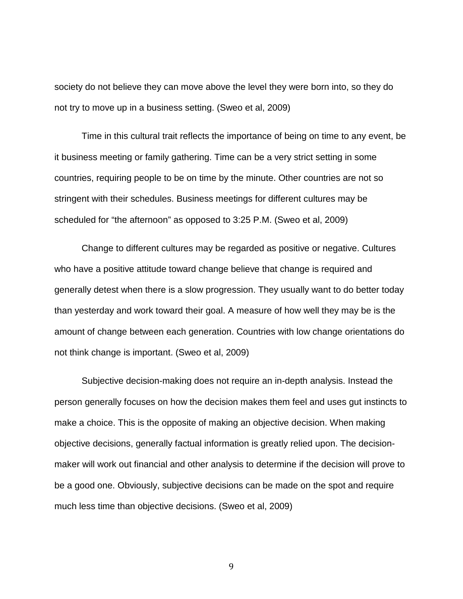society do not believe they can move above the level they were born into, so they do not try to move up in a business setting. (Sweo et al, 2009)

Time in this cultural trait reflects the importance of being on time to any event, be it business meeting or family gathering. Time can be a very strict setting in some countries, requiring people to be on time by the minute. Other countries are not so stringent with their schedules. Business meetings for different cultures may be scheduled for "the afternoon" as opposed to 3:25 P.M. (Sweo et al, 2009)

Change to different cultures may be regarded as positive or negative. Cultures who have a positive attitude toward change believe that change is required and generally detest when there is a slow progression. They usually want to do better today than yesterday and work toward their goal. A measure of how well they may be is the amount of change between each generation. Countries with low change orientations do not think change is important. (Sweo et al, 2009)

Subjective decision-making does not require an in-depth analysis. Instead the person generally focuses on how the decision makes them feel and uses gut instincts to make a choice. This is the opposite of making an objective decision. When making objective decisions, generally factual information is greatly relied upon. The decisionmaker will work out financial and other analysis to determine if the decision will prove to be a good one. Obviously, subjective decisions can be made on the spot and require much less time than objective decisions. (Sweo et al, 2009)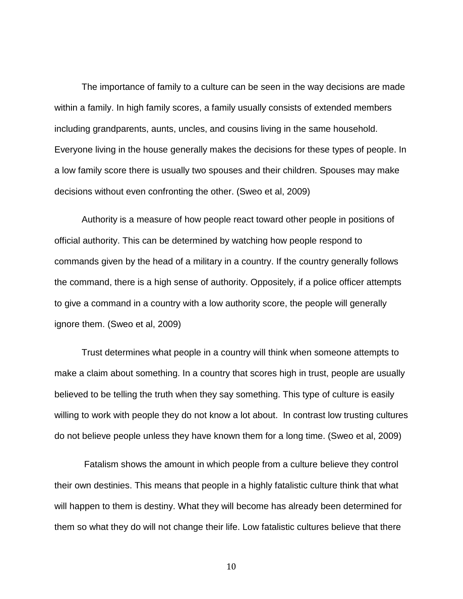The importance of family to a culture can be seen in the way decisions are made within a family. In high family scores, a family usually consists of extended members including grandparents, aunts, uncles, and cousins living in the same household. Everyone living in the house generally makes the decisions for these types of people. In a low family score there is usually two spouses and their children. Spouses may make decisions without even confronting the other. (Sweo et al, 2009)

Authority is a measure of how people react toward other people in positions of official authority. This can be determined by watching how people respond to commands given by the head of a military in a country. If the country generally follows the command, there is a high sense of authority. Oppositely, if a police officer attempts to give a command in a country with a low authority score, the people will generally ignore them. (Sweo et al, 2009)

Trust determines what people in a country will think when someone attempts to make a claim about something. In a country that scores high in trust, people are usually believed to be telling the truth when they say something. This type of culture is easily willing to work with people they do not know a lot about. In contrast low trusting cultures do not believe people unless they have known them for a long time. (Sweo et al, 2009)

Fatalism shows the amount in which people from a culture believe they control their own destinies. This means that people in a highly fatalistic culture think that what will happen to them is destiny. What they will become has already been determined for them so what they do will not change their life. Low fatalistic cultures believe that there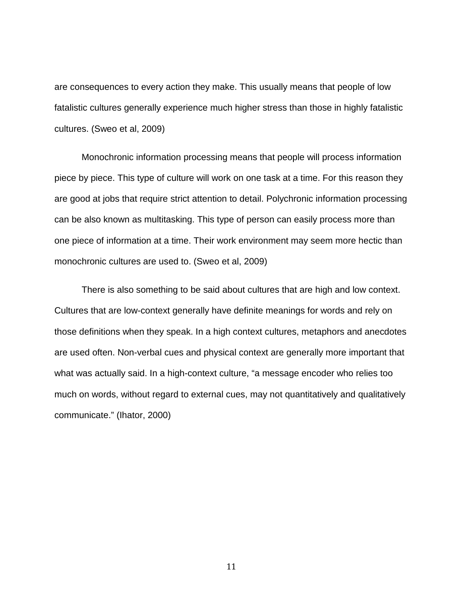are consequences to every action they make. This usually means that people of low fatalistic cultures generally experience much higher stress than those in highly fatalistic cultures. (Sweo et al, 2009)

Monochronic information processing means that people will process information piece by piece. This type of culture will work on one task at a time. For this reason they are good at jobs that require strict attention to detail. Polychronic information processing can be also known as multitasking. This type of person can easily process more than one piece of information at a time. Their work environment may seem more hectic than monochronic cultures are used to. (Sweo et al, 2009)

There is also something to be said about cultures that are high and low context. Cultures that are low-context generally have definite meanings for words and rely on those definitions when they speak. In a high context cultures, metaphors and anecdotes are used often. Non-verbal cues and physical context are generally more important that what was actually said. In a high-context culture, "a message encoder who relies too much on words, without regard to external cues, may not quantitatively and qualitatively communicate." (Ihator, 2000)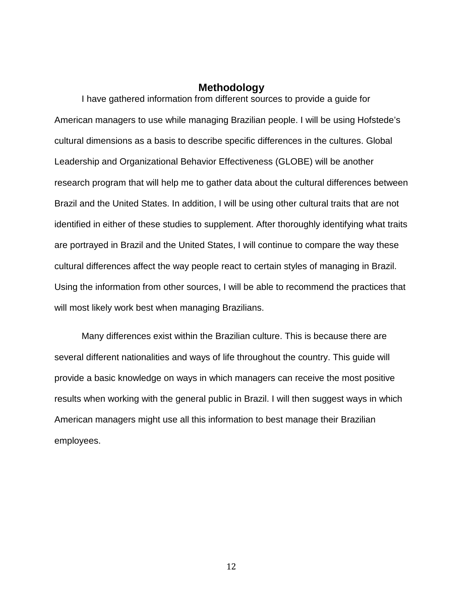## **Methodology**

I have gathered information from different sources to provide a guide for American managers to use while managing Brazilian people. I will be using Hofstede's cultural dimensions as a basis to describe specific differences in the cultures. Global Leadership and Organizational Behavior Effectiveness (GLOBE) will be another research program that will help me to gather data about the cultural differences between Brazil and the United States. In addition, I will be using other cultural traits that are not identified in either of these studies to supplement. After thoroughly identifying what traits are portrayed in Brazil and the United States, I will continue to compare the way these cultural differences affect the way people react to certain styles of managing in Brazil. Using the information from other sources, I will be able to recommend the practices that will most likely work best when managing Brazilians.

Many differences exist within the Brazilian culture. This is because there are several different nationalities and ways of life throughout the country. This guide will provide a basic knowledge on ways in which managers can receive the most positive results when working with the general public in Brazil. I will then suggest ways in which American managers might use all this information to best manage their Brazilian employees.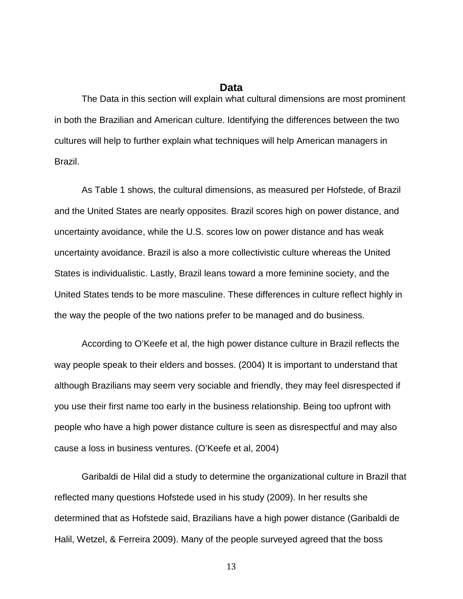## **Data**

The Data in this section will explain what cultural dimensions are most prominent in both the Brazilian and American culture. Identifying the differences between the two cultures will help to further explain what techniques will help American managers in Brazil.

As Table 1 shows, the cultural dimensions, as measured per Hofstede, of Brazil and the United States are nearly opposites. Brazil scores high on power distance, and uncertainty avoidance, while the U.S. scores low on power distance and has weak uncertainty avoidance. Brazil is also a more collectivistic culture whereas the United States is individualistic. Lastly, Brazil leans toward a more feminine society, and the United States tends to be more masculine. These differences in culture reflect highly in the way the people of the two nations prefer to be managed and do business.

According to O'Keefe et al, the high power distance culture in Brazil reflects the way people speak to their elders and bosses. (2004) It is important to understand that although Brazilians may seem very sociable and friendly, they may feel disrespected if you use their first name too early in the business relationship. Being too upfront with people who have a high power distance culture is seen as disrespectful and may also cause a loss in business ventures. (O'Keefe et al, 2004)

Garibaldi de Hilal did a study to determine the organizational culture in Brazil that reflected many questions Hofstede used in his study (2009). In her results she determined that as Hofstede said, Brazilians have a high power distance (Garibaldi de Halil, Wetzel, & Ferreira 2009). Many of the people surveyed agreed that the boss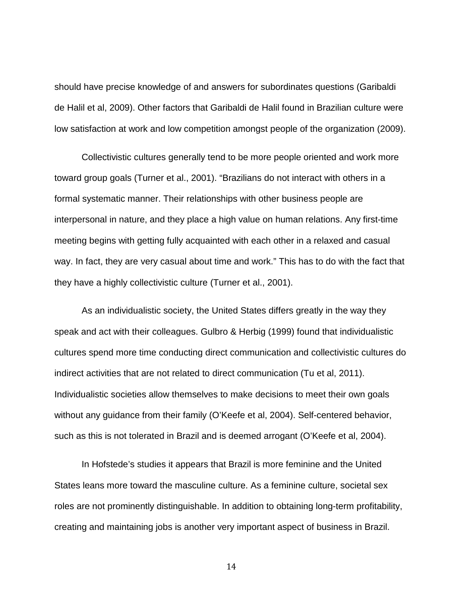should have precise knowledge of and answers for subordinates questions (Garibaldi de Halil et al, 2009). Other factors that Garibaldi de Halil found in Brazilian culture were low satisfaction at work and low competition amongst people of the organization (2009).

Collectivistic cultures generally tend to be more people oriented and work more toward group goals (Turner et al., 2001). "Brazilians do not interact with others in a formal systematic manner. Their relationships with other business people are interpersonal in nature, and they place a high value on human relations. Any first-time meeting begins with getting fully acquainted with each other in a relaxed and casual way. In fact, they are very casual about time and work." This has to do with the fact that they have a highly collectivistic culture (Turner et al., 2001).

As an individualistic society, the United States differs greatly in the way they speak and act with their colleagues. Gulbro & Herbig (1999) found that individualistic cultures spend more time conducting direct communication and collectivistic cultures do indirect activities that are not related to direct communication (Tu et al, 2011). Individualistic societies allow themselves to make decisions to meet their own goals without any guidance from their family (O'Keefe et al, 2004). Self-centered behavior, such as this is not tolerated in Brazil and is deemed arrogant (O'Keefe et al, 2004).

In Hofstede's studies it appears that Brazil is more feminine and the United States leans more toward the masculine culture. As a feminine culture, societal sex roles are not prominently distinguishable. In addition to obtaining long-term profitability, creating and maintaining jobs is another very important aspect of business in Brazil.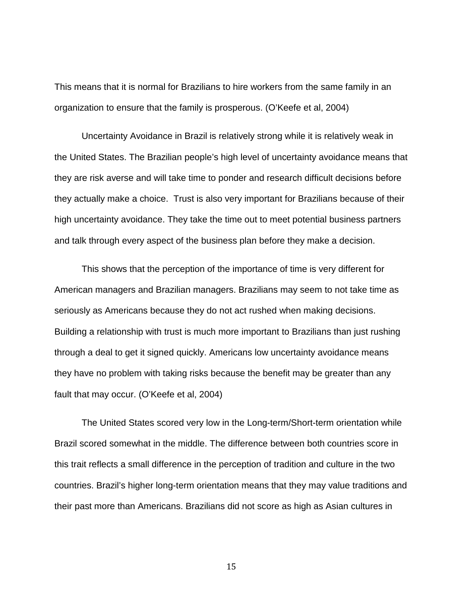This means that it is normal for Brazilians to hire workers from the same family in an organization to ensure that the family is prosperous. (O'Keefe et al, 2004)

Uncertainty Avoidance in Brazil is relatively strong while it is relatively weak in the United States. The Brazilian people's high level of uncertainty avoidance means that they are risk averse and will take time to ponder and research difficult decisions before they actually make a choice. Trust is also very important for Brazilians because of their high uncertainty avoidance. They take the time out to meet potential business partners and talk through every aspect of the business plan before they make a decision.

This shows that the perception of the importance of time is very different for American managers and Brazilian managers. Brazilians may seem to not take time as seriously as Americans because they do not act rushed when making decisions. Building a relationship with trust is much more important to Brazilians than just rushing through a deal to get it signed quickly. Americans low uncertainty avoidance means they have no problem with taking risks because the benefit may be greater than any fault that may occur. (O'Keefe et al, 2004)

The United States scored very low in the Long-term/Short-term orientation while Brazil scored somewhat in the middle. The difference between both countries score in this trait reflects a small difference in the perception of tradition and culture in the two countries. Brazil's higher long-term orientation means that they may value traditions and their past more than Americans. Brazilians did not score as high as Asian cultures in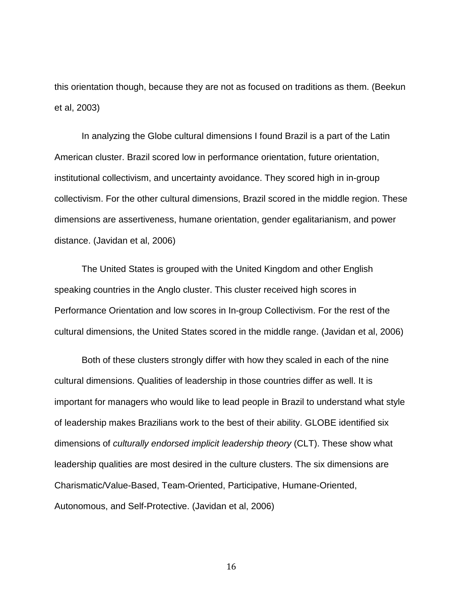this orientation though, because they are not as focused on traditions as them. (Beekun et al, 2003)

In analyzing the Globe cultural dimensions I found Brazil is a part of the Latin American cluster. Brazil scored low in performance orientation, future orientation, institutional collectivism, and uncertainty avoidance. They scored high in in-group collectivism. For the other cultural dimensions, Brazil scored in the middle region. These dimensions are assertiveness, humane orientation, gender egalitarianism, and power distance. (Javidan et al, 2006)

The United States is grouped with the United Kingdom and other English speaking countries in the Anglo cluster. This cluster received high scores in Performance Orientation and low scores in In-group Collectivism. For the rest of the cultural dimensions, the United States scored in the middle range. (Javidan et al, 2006)

Both of these clusters strongly differ with how they scaled in each of the nine cultural dimensions. Qualities of leadership in those countries differ as well. It is important for managers who would like to lead people in Brazil to understand what style of leadership makes Brazilians work to the best of their ability. GLOBE identified six dimensions of *culturally endorsed implicit leadership theory* (CLT). These show what leadership qualities are most desired in the culture clusters. The six dimensions are Charismatic/Value-Based, Team-Oriented, Participative, Humane-Oriented, Autonomous, and Self-Protective. (Javidan et al, 2006)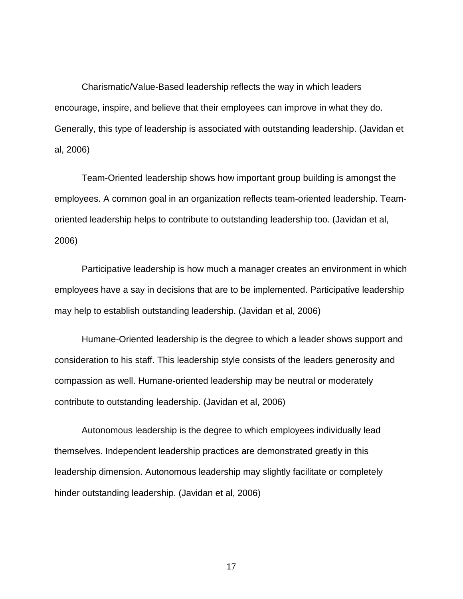Charismatic/Value-Based leadership reflects the way in which leaders encourage, inspire, and believe that their employees can improve in what they do. Generally, this type of leadership is associated with outstanding leadership. (Javidan et al, 2006)

Team-Oriented leadership shows how important group building is amongst the employees. A common goal in an organization reflects team-oriented leadership. Teamoriented leadership helps to contribute to outstanding leadership too. (Javidan et al, 2006)

Participative leadership is how much a manager creates an environment in which employees have a say in decisions that are to be implemented. Participative leadership may help to establish outstanding leadership. (Javidan et al, 2006)

Humane-Oriented leadership is the degree to which a leader shows support and consideration to his staff. This leadership style consists of the leaders generosity and compassion as well. Humane-oriented leadership may be neutral or moderately contribute to outstanding leadership. (Javidan et al, 2006)

Autonomous leadership is the degree to which employees individually lead themselves. Independent leadership practices are demonstrated greatly in this leadership dimension. Autonomous leadership may slightly facilitate or completely hinder outstanding leadership. (Javidan et al, 2006)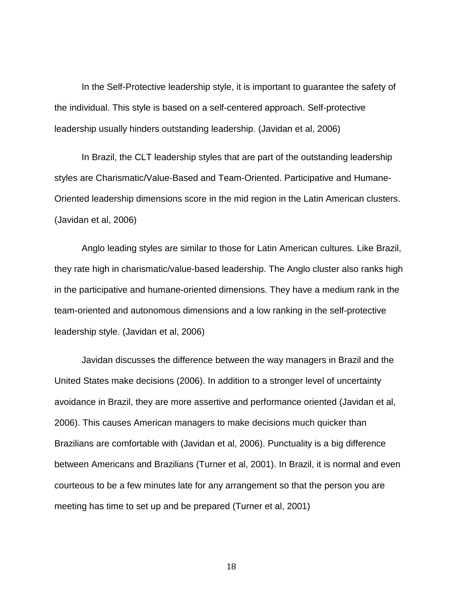In the Self-Protective leadership style, it is important to guarantee the safety of the individual. This style is based on a self-centered approach. Self-protective leadership usually hinders outstanding leadership. (Javidan et al, 2006)

In Brazil, the CLT leadership styles that are part of the outstanding leadership styles are Charismatic/Value-Based and Team-Oriented. Participative and Humane-Oriented leadership dimensions score in the mid region in the Latin American clusters. (Javidan et al, 2006)

Anglo leading styles are similar to those for Latin American cultures. Like Brazil, they rate high in charismatic/value-based leadership. The Anglo cluster also ranks high in the participative and humane-oriented dimensions. They have a medium rank in the team-oriented and autonomous dimensions and a low ranking in the self-protective leadership style. (Javidan et al, 2006)

Javidan discusses the difference between the way managers in Brazil and the United States make decisions (2006). In addition to a stronger level of uncertainty avoidance in Brazil, they are more assertive and performance oriented (Javidan et al, 2006). This causes American managers to make decisions much quicker than Brazilians are comfortable with (Javidan et al, 2006). Punctuality is a big difference between Americans and Brazilians (Turner et al, 2001). In Brazil, it is normal and even courteous to be a few minutes late for any arrangement so that the person you are meeting has time to set up and be prepared (Turner et al, 2001)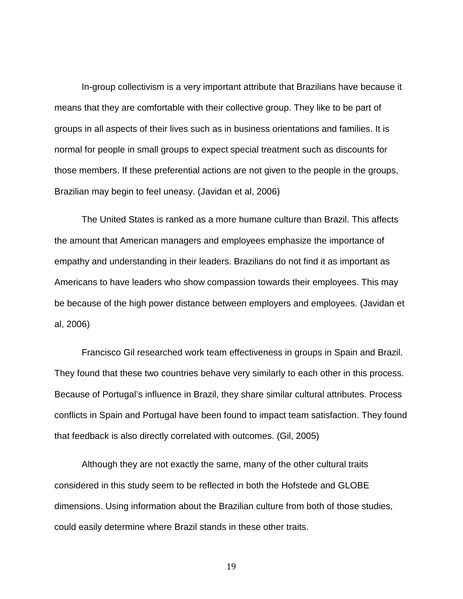In-group collectivism is a very important attribute that Brazilians have because it means that they are comfortable with their collective group. They like to be part of groups in all aspects of their lives such as in business orientations and families. It is normal for people in small groups to expect special treatment such as discounts for those members. If these preferential actions are not given to the people in the groups, Brazilian may begin to feel uneasy. (Javidan et al, 2006)

The United States is ranked as a more humane culture than Brazil. This affects the amount that American managers and employees emphasize the importance of empathy and understanding in their leaders. Brazilians do not find it as important as Americans to have leaders who show compassion towards their employees. This may be because of the high power distance between employers and employees. (Javidan et al, 2006)

Francisco Gil researched work team effectiveness in groups in Spain and Brazil. They found that these two countries behave very similarly to each other in this process. Because of Portugal's influence in Brazil, they share similar cultural attributes. Process conflicts in Spain and Portugal have been found to impact team satisfaction. They found that feedback is also directly correlated with outcomes. (Gil, 2005)

Although they are not exactly the same, many of the other cultural traits considered in this study seem to be reflected in both the Hofstede and GLOBE dimensions. Using information about the Brazilian culture from both of those studies, could easily determine where Brazil stands in these other traits.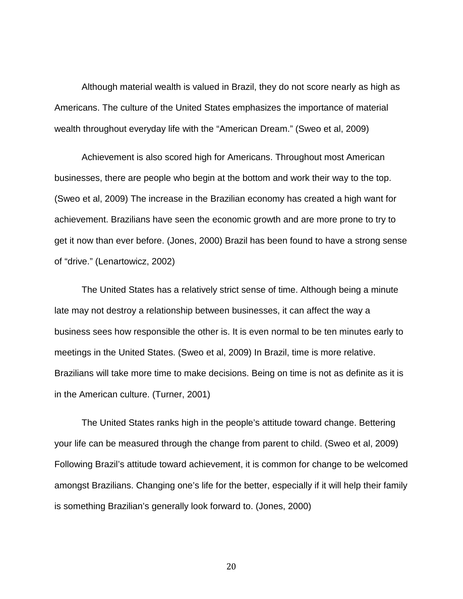Although material wealth is valued in Brazil, they do not score nearly as high as Americans. The culture of the United States emphasizes the importance of material wealth throughout everyday life with the "American Dream." (Sweo et al, 2009)

Achievement is also scored high for Americans. Throughout most American businesses, there are people who begin at the bottom and work their way to the top. (Sweo et al, 2009) The increase in the Brazilian economy has created a high want for achievement. Brazilians have seen the economic growth and are more prone to try to get it now than ever before. (Jones, 2000) Brazil has been found to have a strong sense of "drive." (Lenartowicz, 2002)

The United States has a relatively strict sense of time. Although being a minute late may not destroy a relationship between businesses, it can affect the way a business sees how responsible the other is. It is even normal to be ten minutes early to meetings in the United States. (Sweo et al, 2009) In Brazil, time is more relative. Brazilians will take more time to make decisions. Being on time is not as definite as it is in the American culture. (Turner, 2001)

The United States ranks high in the people's attitude toward change. Bettering your life can be measured through the change from parent to child. (Sweo et al, 2009) Following Brazil's attitude toward achievement, it is common for change to be welcomed amongst Brazilians. Changing one's life for the better, especially if it will help their family is something Brazilian's generally look forward to. (Jones, 2000)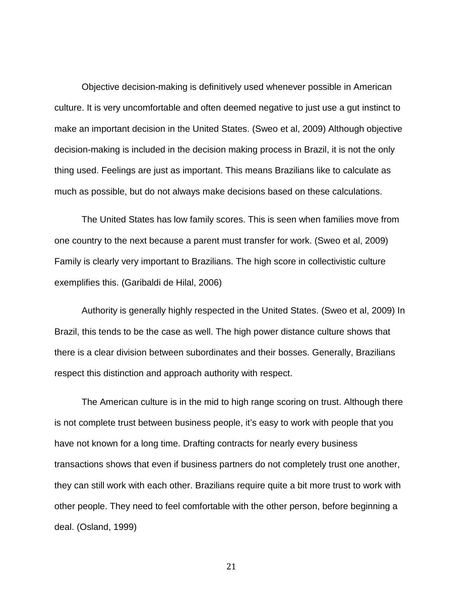Objective decision-making is definitively used whenever possible in American culture. It is very uncomfortable and often deemed negative to just use a gut instinct to make an important decision in the United States. (Sweo et al, 2009) Although objective decision-making is included in the decision making process in Brazil, it is not the only thing used. Feelings are just as important. This means Brazilians like to calculate as much as possible, but do not always make decisions based on these calculations.

The United States has low family scores. This is seen when families move from one country to the next because a parent must transfer for work. (Sweo et al, 2009) Family is clearly very important to Brazilians. The high score in collectivistic culture exemplifies this. (Garibaldi de Hilal, 2006)

Authority is generally highly respected in the United States. (Sweo et al, 2009) In Brazil, this tends to be the case as well. The high power distance culture shows that there is a clear division between subordinates and their bosses. Generally, Brazilians respect this distinction and approach authority with respect.

The American culture is in the mid to high range scoring on trust. Although there is not complete trust between business people, it's easy to work with people that you have not known for a long time. Drafting contracts for nearly every business transactions shows that even if business partners do not completely trust one another, they can still work with each other. Brazilians require quite a bit more trust to work with other people. They need to feel comfortable with the other person, before beginning a deal. (Osland, 1999)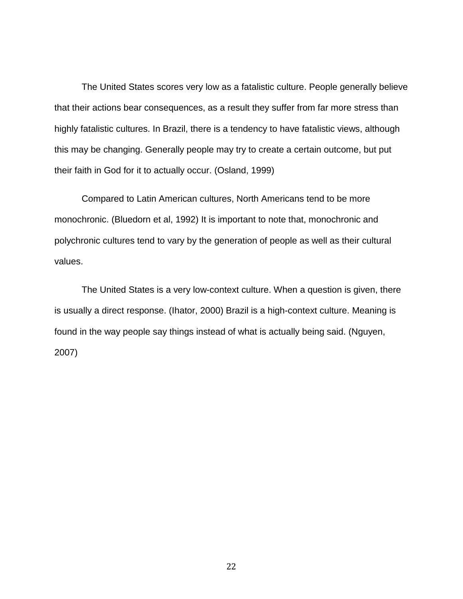The United States scores very low as a fatalistic culture. People generally believe that their actions bear consequences, as a result they suffer from far more stress than highly fatalistic cultures. In Brazil, there is a tendency to have fatalistic views, although this may be changing. Generally people may try to create a certain outcome, but put their faith in God for it to actually occur. (Osland, 1999)

Compared to Latin American cultures, North Americans tend to be more monochronic. (Bluedorn et al, 1992) It is important to note that, monochronic and polychronic cultures tend to vary by the generation of people as well as their cultural values.

The United States is a very low-context culture. When a question is given, there is usually a direct response. (Ihator, 2000) Brazil is a high-context culture. Meaning is found in the way people say things instead of what is actually being said. (Nguyen, 2007)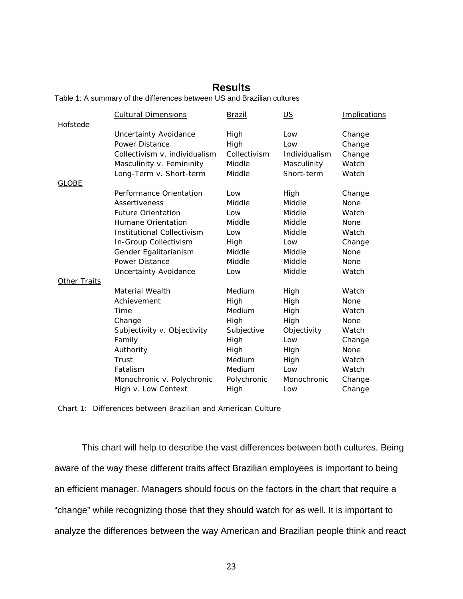# **Results**

Table 1: A summary of the differences between US and Brazilian cultures

|                 | <b>Cultural Dimensions</b>        | Brazil       | <u>US</u>     | <b>Implications</b> |
|-----------------|-----------------------------------|--------------|---------------|---------------------|
| <b>Hofstede</b> |                                   |              |               |                     |
|                 | <b>Uncertainty Avoidance</b>      | High         | Low           | Change              |
|                 | Power Distance                    | High         | Low           | Change              |
|                 | Collectivism v. individualism     | Collectivism | Individualism | Change              |
|                 | Masculinity v. Femininity         | Middle       | Masculinity   | Watch               |
|                 | Long-Term v. Short-term           | Middle       | Short-term    | Watch               |
| <b>GLOBE</b>    |                                   |              |               |                     |
|                 | Performance Orientation           | Low          | High          | Change              |
|                 | Assertiveness                     | Middle       | Middle        | None                |
|                 | <b>Future Orientation</b>         | Low          | Middle        | Watch               |
|                 | Humane Orientation                | Middle       | Middle        | None                |
|                 | <b>Institutional Collectivism</b> | Low          | Middle        | Watch               |
|                 | In-Group Collectivism             | High         | Low           | Change              |
|                 | Gender Egalitarianism             | Middle       | Middle        | None                |
|                 | Power Distance                    | Middle       | Middle        | None                |
|                 | <b>Uncertainty Avoidance</b>      | Low          | Middle        | Watch               |
| Other Traits    |                                   |              |               |                     |
|                 | Material Wealth                   | Medium       | High          | Watch               |
|                 | Achievement                       | High         | High          | None                |
|                 | Time                              | Medium       | High          | Watch               |
|                 | Change                            | High         | High          | None                |
|                 | Subjectivity v. Objectivity       | Subjective   | Objectivity   | Watch               |
|                 | Family                            | High         | Low           | Change              |
|                 | Authority                         | High         | High          | None                |
|                 | Trust                             | Medium       | High          | Watch               |
|                 | Fatalism                          | Medium       | Low           | Watch               |
|                 | Monochronic v. Polychronic        | Polychronic  | Monochronic   | Change              |
|                 | High v. Low Context               | High         | Low           | Change              |

Chart 1: Differences between Brazilian and American Culture

This chart will help to describe the vast differences between both cultures. Being aware of the way these different traits affect Brazilian employees is important to being an efficient manager. Managers should focus on the factors in the chart that require a "change" while recognizing those that they should watch for as well. It is important to analyze the differences between the way American and Brazilian people think and react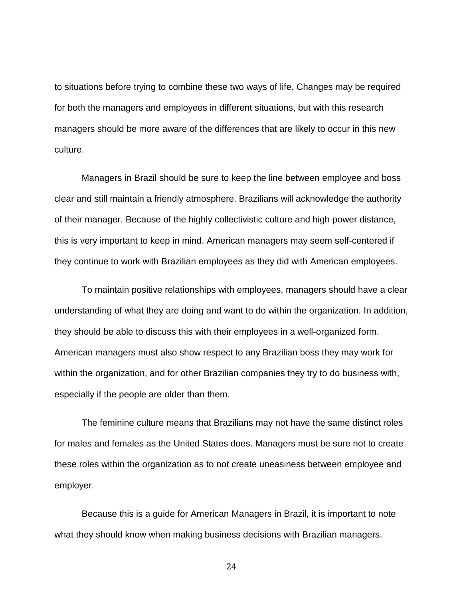to situations before trying to combine these two ways of life. Changes may be required for both the managers and employees in different situations, but with this research managers should be more aware of the differences that are likely to occur in this new culture.

Managers in Brazil should be sure to keep the line between employee and boss clear and still maintain a friendly atmosphere. Brazilians will acknowledge the authority of their manager. Because of the highly collectivistic culture and high power distance, this is very important to keep in mind. American managers may seem self-centered if they continue to work with Brazilian employees as they did with American employees.

To maintain positive relationships with employees, managers should have a clear understanding of what they are doing and want to do within the organization. In addition, they should be able to discuss this with their employees in a well-organized form. American managers must also show respect to any Brazilian boss they may work for within the organization, and for other Brazilian companies they try to do business with, especially if the people are older than them.

The feminine culture means that Brazilians may not have the same distinct roles for males and females as the United States does. Managers must be sure not to create these roles within the organization as to not create uneasiness between employee and employer.

Because this is a guide for American Managers in Brazil, it is important to note what they should know when making business decisions with Brazilian managers.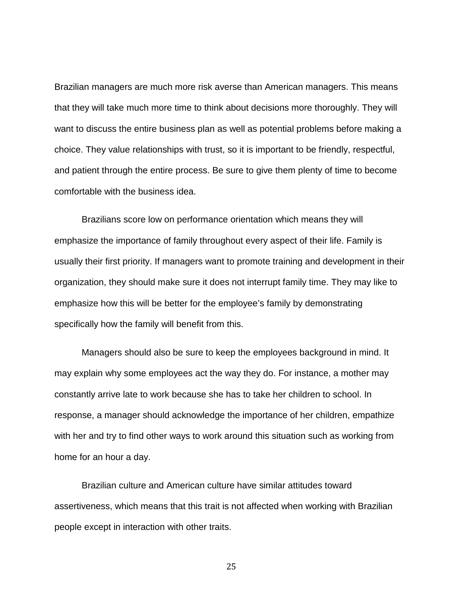Brazilian managers are much more risk averse than American managers. This means that they will take much more time to think about decisions more thoroughly. They will want to discuss the entire business plan as well as potential problems before making a choice. They value relationships with trust, so it is important to be friendly, respectful, and patient through the entire process. Be sure to give them plenty of time to become comfortable with the business idea.

Brazilians score low on performance orientation which means they will emphasize the importance of family throughout every aspect of their life. Family is usually their first priority. If managers want to promote training and development in their organization, they should make sure it does not interrupt family time. They may like to emphasize how this will be better for the employee's family by demonstrating specifically how the family will benefit from this.

Managers should also be sure to keep the employees background in mind. It may explain why some employees act the way they do. For instance, a mother may constantly arrive late to work because she has to take her children to school. In response, a manager should acknowledge the importance of her children, empathize with her and try to find other ways to work around this situation such as working from home for an hour a day.

Brazilian culture and American culture have similar attitudes toward assertiveness, which means that this trait is not affected when working with Brazilian people except in interaction with other traits.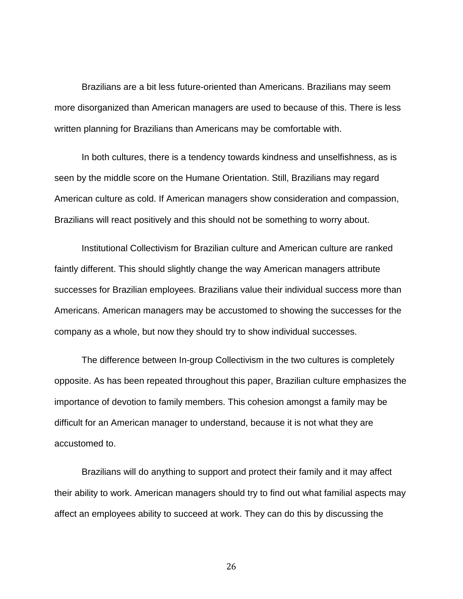Brazilians are a bit less future-oriented than Americans. Brazilians may seem more disorganized than American managers are used to because of this. There is less written planning for Brazilians than Americans may be comfortable with.

In both cultures, there is a tendency towards kindness and unselfishness, as is seen by the middle score on the Humane Orientation. Still, Brazilians may regard American culture as cold. If American managers show consideration and compassion, Brazilians will react positively and this should not be something to worry about.

Institutional Collectivism for Brazilian culture and American culture are ranked faintly different. This should slightly change the way American managers attribute successes for Brazilian employees. Brazilians value their individual success more than Americans. American managers may be accustomed to showing the successes for the company as a whole, but now they should try to show individual successes.

The difference between In-group Collectivism in the two cultures is completely opposite. As has been repeated throughout this paper, Brazilian culture emphasizes the importance of devotion to family members. This cohesion amongst a family may be difficult for an American manager to understand, because it is not what they are accustomed to.

Brazilians will do anything to support and protect their family and it may affect their ability to work. American managers should try to find out what familial aspects may affect an employees ability to succeed at work. They can do this by discussing the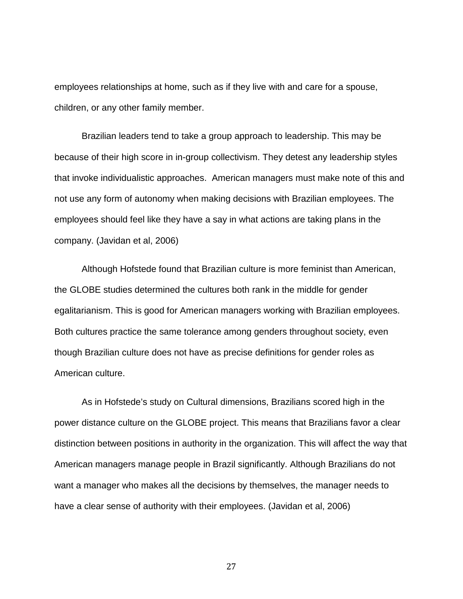employees relationships at home, such as if they live with and care for a spouse, children, or any other family member.

Brazilian leaders tend to take a group approach to leadership. This may be because of their high score in in-group collectivism. They detest any leadership styles that invoke individualistic approaches. American managers must make note of this and not use any form of autonomy when making decisions with Brazilian employees. The employees should feel like they have a say in what actions are taking plans in the company. (Javidan et al, 2006)

Although Hofstede found that Brazilian culture is more feminist than American, the GLOBE studies determined the cultures both rank in the middle for gender egalitarianism. This is good for American managers working with Brazilian employees. Both cultures practice the same tolerance among genders throughout society, even though Brazilian culture does not have as precise definitions for gender roles as American culture.

As in Hofstede's study on Cultural dimensions, Brazilians scored high in the power distance culture on the GLOBE project. This means that Brazilians favor a clear distinction between positions in authority in the organization. This will affect the way that American managers manage people in Brazil significantly. Although Brazilians do not want a manager who makes all the decisions by themselves, the manager needs to have a clear sense of authority with their employees. (Javidan et al, 2006)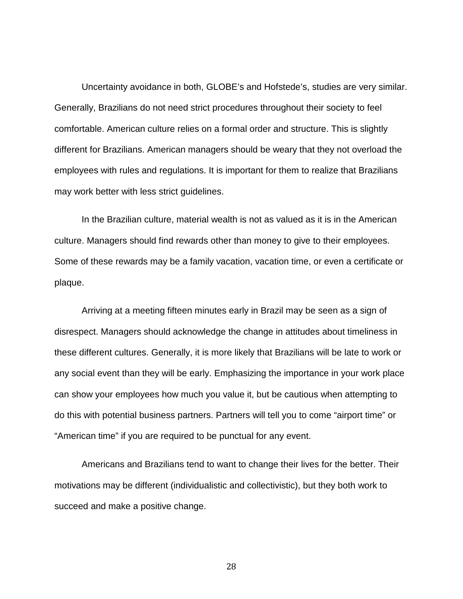Uncertainty avoidance in both, GLOBE's and Hofstede's, studies are very similar. Generally, Brazilians do not need strict procedures throughout their society to feel comfortable. American culture relies on a formal order and structure. This is slightly different for Brazilians. American managers should be weary that they not overload the employees with rules and regulations. It is important for them to realize that Brazilians may work better with less strict guidelines.

In the Brazilian culture, material wealth is not as valued as it is in the American culture. Managers should find rewards other than money to give to their employees. Some of these rewards may be a family vacation, vacation time, or even a certificate or plaque.

Arriving at a meeting fifteen minutes early in Brazil may be seen as a sign of disrespect. Managers should acknowledge the change in attitudes about timeliness in these different cultures. Generally, it is more likely that Brazilians will be late to work or any social event than they will be early. Emphasizing the importance in your work place can show your employees how much you value it, but be cautious when attempting to do this with potential business partners. Partners will tell you to come "airport time" or "American time" if you are required to be punctual for any event.

Americans and Brazilians tend to want to change their lives for the better. Their motivations may be different (individualistic and collectivistic), but they both work to succeed and make a positive change.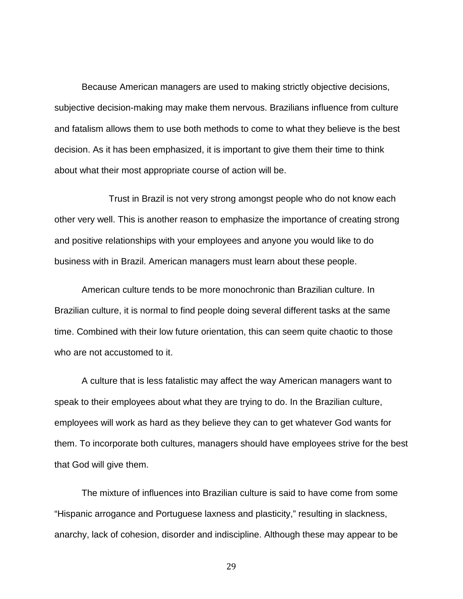Because American managers are used to making strictly objective decisions, subjective decision-making may make them nervous. Brazilians influence from culture and fatalism allows them to use both methods to come to what they believe is the best decision. As it has been emphasized, it is important to give them their time to think about what their most appropriate course of action will be.

Trust in Brazil is not very strong amongst people who do not know each other very well. This is another reason to emphasize the importance of creating strong and positive relationships with your employees and anyone you would like to do business with in Brazil. American managers must learn about these people.

American culture tends to be more monochronic than Brazilian culture. In Brazilian culture, it is normal to find people doing several different tasks at the same time. Combined with their low future orientation, this can seem quite chaotic to those who are not accustomed to it.

A culture that is less fatalistic may affect the way American managers want to speak to their employees about what they are trying to do. In the Brazilian culture, employees will work as hard as they believe they can to get whatever God wants for them. To incorporate both cultures, managers should have employees strive for the best that God will give them.

The mixture of influences into Brazilian culture is said to have come from some "Hispanic arrogance and Portuguese laxness and plasticity," resulting in slackness, anarchy, lack of cohesion, disorder and indiscipline. Although these may appear to be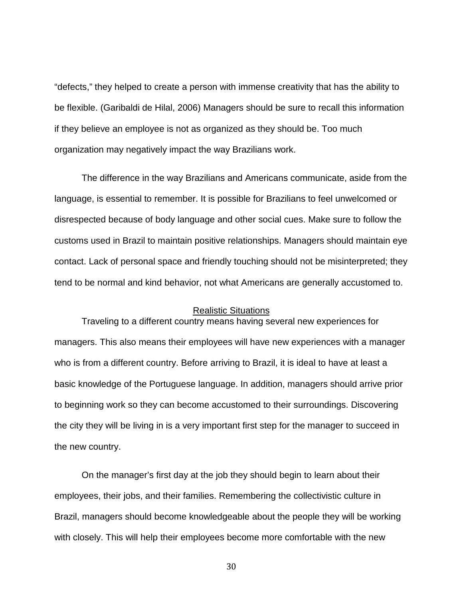"defects," they helped to create a person with immense creativity that has the ability to be flexible. (Garibaldi de Hilal, 2006) Managers should be sure to recall this information if they believe an employee is not as organized as they should be. Too much organization may negatively impact the way Brazilians work.

The difference in the way Brazilians and Americans communicate, aside from the language, is essential to remember. It is possible for Brazilians to feel unwelcomed or disrespected because of body language and other social cues. Make sure to follow the customs used in Brazil to maintain positive relationships. Managers should maintain eye contact. Lack of personal space and friendly touching should not be misinterpreted; they tend to be normal and kind behavior, not what Americans are generally accustomed to.

#### Realistic Situations

Traveling to a different country means having several new experiences for managers. This also means their employees will have new experiences with a manager who is from a different country. Before arriving to Brazil, it is ideal to have at least a basic knowledge of the Portuguese language. In addition, managers should arrive prior to beginning work so they can become accustomed to their surroundings. Discovering the city they will be living in is a very important first step for the manager to succeed in the new country.

On the manager's first day at the job they should begin to learn about their employees, their jobs, and their families. Remembering the collectivistic culture in Brazil, managers should become knowledgeable about the people they will be working with closely. This will help their employees become more comfortable with the new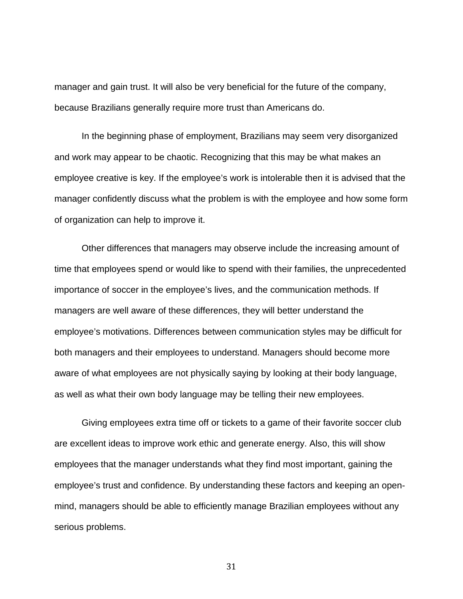manager and gain trust. It will also be very beneficial for the future of the company, because Brazilians generally require more trust than Americans do.

In the beginning phase of employment, Brazilians may seem very disorganized and work may appear to be chaotic. Recognizing that this may be what makes an employee creative is key. If the employee's work is intolerable then it is advised that the manager confidently discuss what the problem is with the employee and how some form of organization can help to improve it.

Other differences that managers may observe include the increasing amount of time that employees spend or would like to spend with their families, the unprecedented importance of soccer in the employee's lives, and the communication methods. If managers are well aware of these differences, they will better understand the employee's motivations. Differences between communication styles may be difficult for both managers and their employees to understand. Managers should become more aware of what employees are not physically saying by looking at their body language, as well as what their own body language may be telling their new employees.

Giving employees extra time off or tickets to a game of their favorite soccer club are excellent ideas to improve work ethic and generate energy. Also, this will show employees that the manager understands what they find most important, gaining the employee's trust and confidence. By understanding these factors and keeping an openmind, managers should be able to efficiently manage Brazilian employees without any serious problems.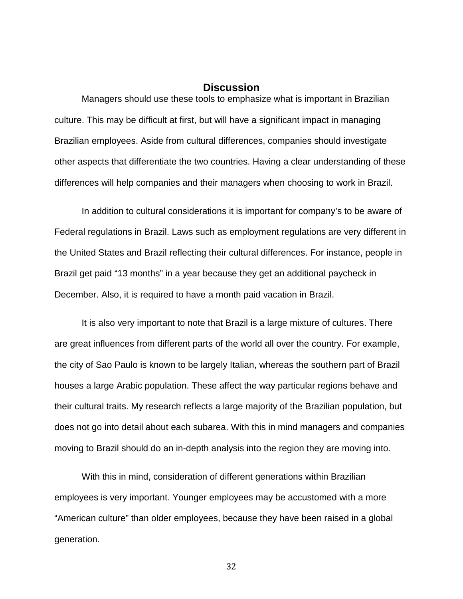# **Discussion**

Managers should use these tools to emphasize what is important in Brazilian culture. This may be difficult at first, but will have a significant impact in managing Brazilian employees. Aside from cultural differences, companies should investigate other aspects that differentiate the two countries. Having a clear understanding of these differences will help companies and their managers when choosing to work in Brazil.

In addition to cultural considerations it is important for company's to be aware of Federal regulations in Brazil. Laws such as employment regulations are very different in the United States and Brazil reflecting their cultural differences. For instance, people in Brazil get paid "13 months" in a year because they get an additional paycheck in December. Also, it is required to have a month paid vacation in Brazil.

It is also very important to note that Brazil is a large mixture of cultures. There are great influences from different parts of the world all over the country. For example, the city of Sao Paulo is known to be largely Italian, whereas the southern part of Brazil houses a large Arabic population. These affect the way particular regions behave and their cultural traits. My research reflects a large majority of the Brazilian population, but does not go into detail about each subarea. With this in mind managers and companies moving to Brazil should do an in-depth analysis into the region they are moving into.

With this in mind, consideration of different generations within Brazilian employees is very important. Younger employees may be accustomed with a more "American culture" than older employees, because they have been raised in a global generation.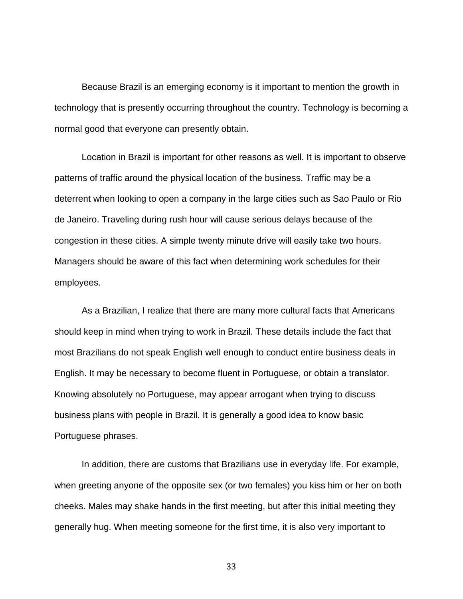Because Brazil is an emerging economy is it important to mention the growth in technology that is presently occurring throughout the country. Technology is becoming a normal good that everyone can presently obtain.

Location in Brazil is important for other reasons as well. It is important to observe patterns of traffic around the physical location of the business. Traffic may be a deterrent when looking to open a company in the large cities such as Sao Paulo or Rio de Janeiro. Traveling during rush hour will cause serious delays because of the congestion in these cities. A simple twenty minute drive will easily take two hours. Managers should be aware of this fact when determining work schedules for their employees.

As a Brazilian, I realize that there are many more cultural facts that Americans should keep in mind when trying to work in Brazil. These details include the fact that most Brazilians do not speak English well enough to conduct entire business deals in English. It may be necessary to become fluent in Portuguese, or obtain a translator. Knowing absolutely no Portuguese, may appear arrogant when trying to discuss business plans with people in Brazil. It is generally a good idea to know basic Portuguese phrases.

In addition, there are customs that Brazilians use in everyday life. For example, when greeting anyone of the opposite sex (or two females) you kiss him or her on both cheeks. Males may shake hands in the first meeting, but after this initial meeting they generally hug. When meeting someone for the first time, it is also very important to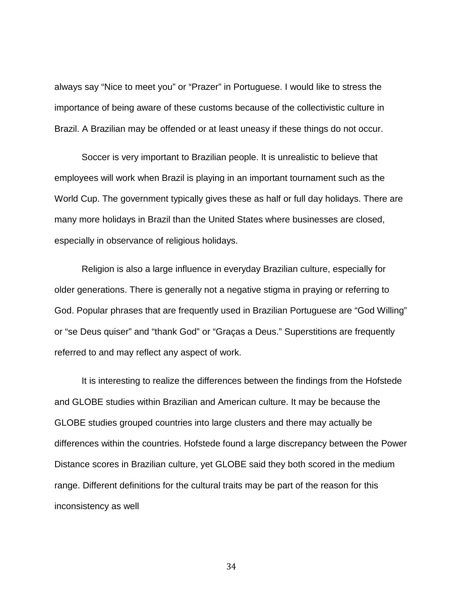always say "Nice to meet you" or "Prazer" in Portuguese. I would like to stress the importance of being aware of these customs because of the collectivistic culture in Brazil. A Brazilian may be offended or at least uneasy if these things do not occur.

Soccer is very important to Brazilian people. It is unrealistic to believe that employees will work when Brazil is playing in an important tournament such as the World Cup. The government typically gives these as half or full day holidays. There are many more holidays in Brazil than the United States where businesses are closed, especially in observance of religious holidays.

Religion is also a large influence in everyday Brazilian culture, especially for older generations. There is generally not a negative stigma in praying or referring to God. Popular phrases that are frequently used in Brazilian Portuguese are "God Willing" or "se Deus quiser" and "thank God" or "Graças a Deus." Superstitions are frequently referred to and may reflect any aspect of work.

It is interesting to realize the differences between the findings from the Hofstede and GLOBE studies within Brazilian and American culture. It may be because the GLOBE studies grouped countries into large clusters and there may actually be differences within the countries. Hofstede found a large discrepancy between the Power Distance scores in Brazilian culture, yet GLOBE said they both scored in the medium range. Different definitions for the cultural traits may be part of the reason for this inconsistency as well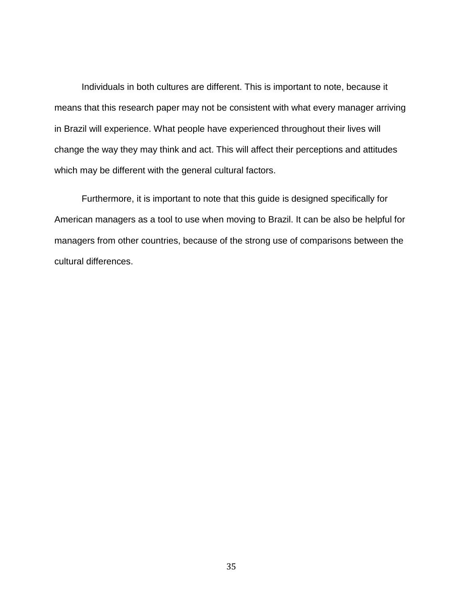Individuals in both cultures are different. This is important to note, because it means that this research paper may not be consistent with what every manager arriving in Brazil will experience. What people have experienced throughout their lives will change the way they may think and act. This will affect their perceptions and attitudes which may be different with the general cultural factors.

Furthermore, it is important to note that this guide is designed specifically for American managers as a tool to use when moving to Brazil. It can be also be helpful for managers from other countries, because of the strong use of comparisons between the cultural differences.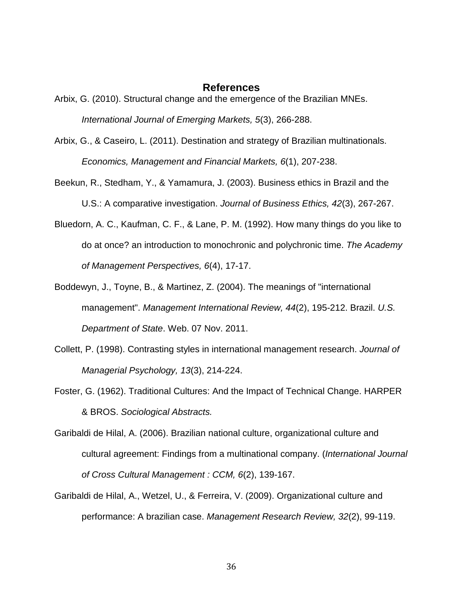## **References**

- Arbix, G. (2010). Structural change and the emergence of the Brazilian MNEs. *International Journal of Emerging Markets, 5*(3), 266-288.
- Arbix, G., & Caseiro, L. (2011). Destination and strategy of Brazilian multinationals. *Economics, Management and Financial Markets, 6*(1), 207-238.
- Beekun, R., Stedham, Y., & Yamamura, J. (2003). Business ethics in Brazil and the U.S.: A comparative investigation. *Journal of Business Ethics, 42*(3), 267-267.
- Bluedorn, A. C., Kaufman, C. F., & Lane, P. M. (1992). How many things do you like to do at once? an introduction to monochronic and polychronic time. *The Academy of Management Perspectives, 6*(4), 17-17.
- Boddewyn, J., Toyne, B., & Martinez, Z. (2004). The meanings of "international management". *Management International Review, 44*(2), 195-212. Brazil. *U.S. Department of State*. Web. 07 Nov. 2011.
- Collett, P. (1998). Contrasting styles in international management research. *Journal of Managerial Psychology, 13*(3), 214-224.
- Foster, G. (1962). Traditional Cultures: And the Impact of Technical Change. HARPER & BROS. *Sociological Abstracts.*
- Garibaldi de Hilal, A. (2006). Brazilian national culture, organizational culture and cultural agreement: Findings from a multinational company. (*International Journal of Cross Cultural Management : CCM, 6*(2), 139-167.
- Garibaldi de Hilal, A., Wetzel, U., & Ferreira, V. (2009). Organizational culture and performance: A brazilian case. *Management Research Review, 32*(2), 99-119.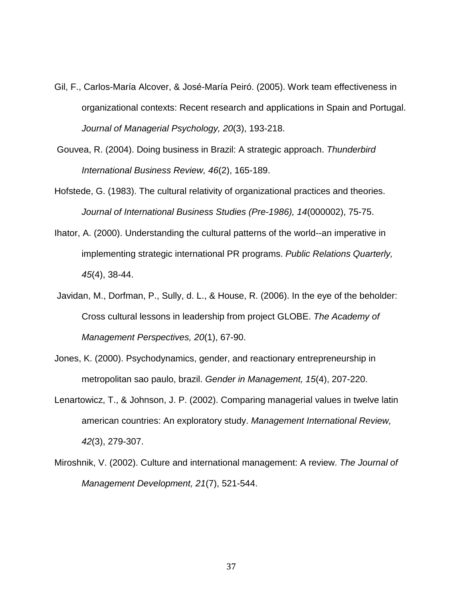- Gil, F., Carlos-María Alcover, & José-María Peiró. (2005). Work team effectiveness in organizational contexts: Recent research and applications in Spain and Portugal. *Journal of Managerial Psychology, 20*(3), 193-218.
- Gouvea, R. (2004). Doing business in Brazil: A strategic approach. *Thunderbird International Business Review, 46*(2), 165-189.
- Hofstede, G. (1983). The cultural relativity of organizational practices and theories. *Journal of International Business Studies (Pre-1986), 14*(000002), 75-75.
- Ihator, A. (2000). Understanding the cultural patterns of the world--an imperative in implementing strategic international PR programs. *Public Relations Quarterly, 45*(4), 38-44.
- Javidan, M., Dorfman, P., Sully, d. L., & House, R. (2006). In the eye of the beholder: Cross cultural lessons in leadership from project GLOBE. *The Academy of Management Perspectives, 20*(1), 67-90.
- Jones, K. (2000). Psychodynamics, gender, and reactionary entrepreneurship in metropolitan sao paulo, brazil. *Gender in Management, 15*(4), 207-220.
- Lenartowicz, T., & Johnson, J. P. (2002). Comparing managerial values in twelve latin american countries: An exploratory study. *Management International Review, 42*(3), 279-307.
- Miroshnik, V. (2002). Culture and international management: A review. *The Journal of Management Development, 21*(7), 521-544.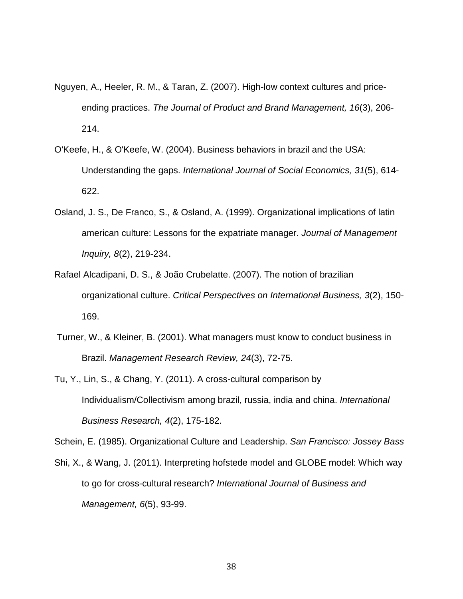- Nguyen, A., Heeler, R. M., & Taran, Z. (2007). High-low context cultures and priceending practices. *The Journal of Product and Brand Management, 16*(3), 206- 214.
- O'Keefe, H., & O'Keefe, W. (2004). Business behaviors in brazil and the USA: Understanding the gaps. *International Journal of Social Economics, 31*(5), 614- 622.
- Osland, J. S., De Franco, S., & Osland, A. (1999). Organizational implications of latin american culture: Lessons for the expatriate manager. *Journal of Management Inquiry, 8*(2), 219-234.
- Rafael Alcadipani, D. S., & João Crubelatte. (2007). The notion of brazilian organizational culture. *Critical Perspectives on International Business, 3*(2), 150- 169.
- Turner, W., & Kleiner, B. (2001). What managers must know to conduct business in Brazil. *Management Research Review, 24*(3), 72-75.
- Tu, Y., Lin, S., & Chang, Y. (2011). A cross-cultural comparison by Individualism/Collectivism among brazil, russia, india and china. *International Business Research, 4*(2), 175-182.

Schein, E. (1985). Organizational Culture and Leadership. *San Francisco: Jossey Bass*

Shi, X., & Wang, J. (2011). Interpreting hofstede model and GLOBE model: Which way to go for cross-cultural research? *International Journal of Business and Management, 6*(5), 93-99.